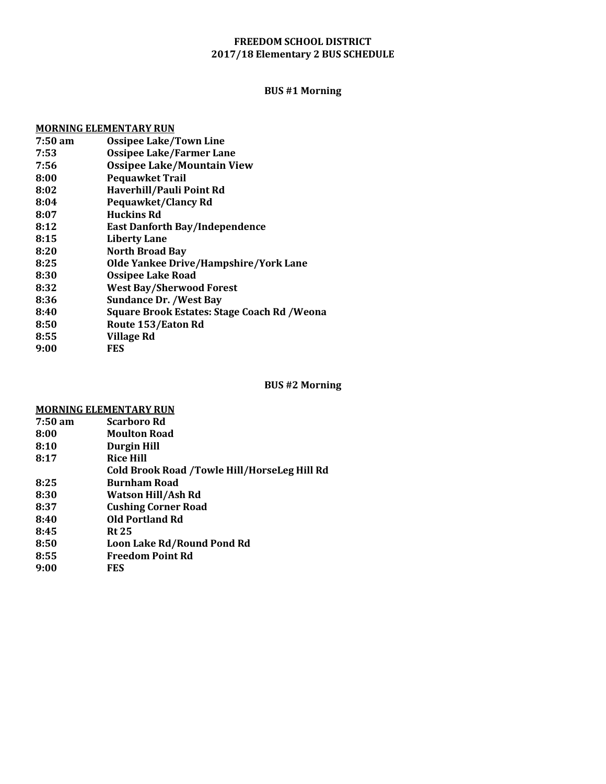### **FREEDOM SCHOOL DISTRICT 2017/18 Elementary 2 BUS SCHEDULE**

# **BUS #1 Morning**

# **MORNING ELEMENTARY RUN**

| $7:50 \text{ am}$ | <b>Ossipee Lake/Town Line</b>                |
|-------------------|----------------------------------------------|
| 7:53              | <b>Ossipee Lake/Farmer Lane</b>              |
| 7:56              | <b>Ossipee Lake/Mountain View</b>            |
| 8:00              | <b>Pequawket Trail</b>                       |
| 8:02              | Haverhill/Pauli Point Rd                     |
| 8:04              | <b>Pequawket/Clancy Rd</b>                   |
| 8:07              | <b>Huckins Rd</b>                            |
| 8:12              | <b>East Danforth Bay/Independence</b>        |
| 8:15              | <b>Liberty Lane</b>                          |
| 8:20              | <b>North Broad Bay</b>                       |
| 8:25              | Olde Yankee Drive/Hampshire/York Lane        |
| 8:30              | <b>Ossipee Lake Road</b>                     |
| 8:32              | <b>West Bay/Sherwood Forest</b>              |
| 8:36              | <b>Sundance Dr. /West Bay</b>                |
| 8:40              | Square Brook Estates: Stage Coach Rd / Weona |
| 8:50              | Route 153/Eaton Rd                           |
| 8:55              | Village Rd                                   |
| 9:00              | <b>FES</b>                                   |
|                   |                                              |

#### **BUS #2 Morning**

### **MORNING ELEMENTARY RUN**

| Cold Brook Road /Towle Hill/HorseLeg Hill Rd |
|----------------------------------------------|
|                                              |
|                                              |
|                                              |
|                                              |
|                                              |
|                                              |
|                                              |
|                                              |
|                                              |